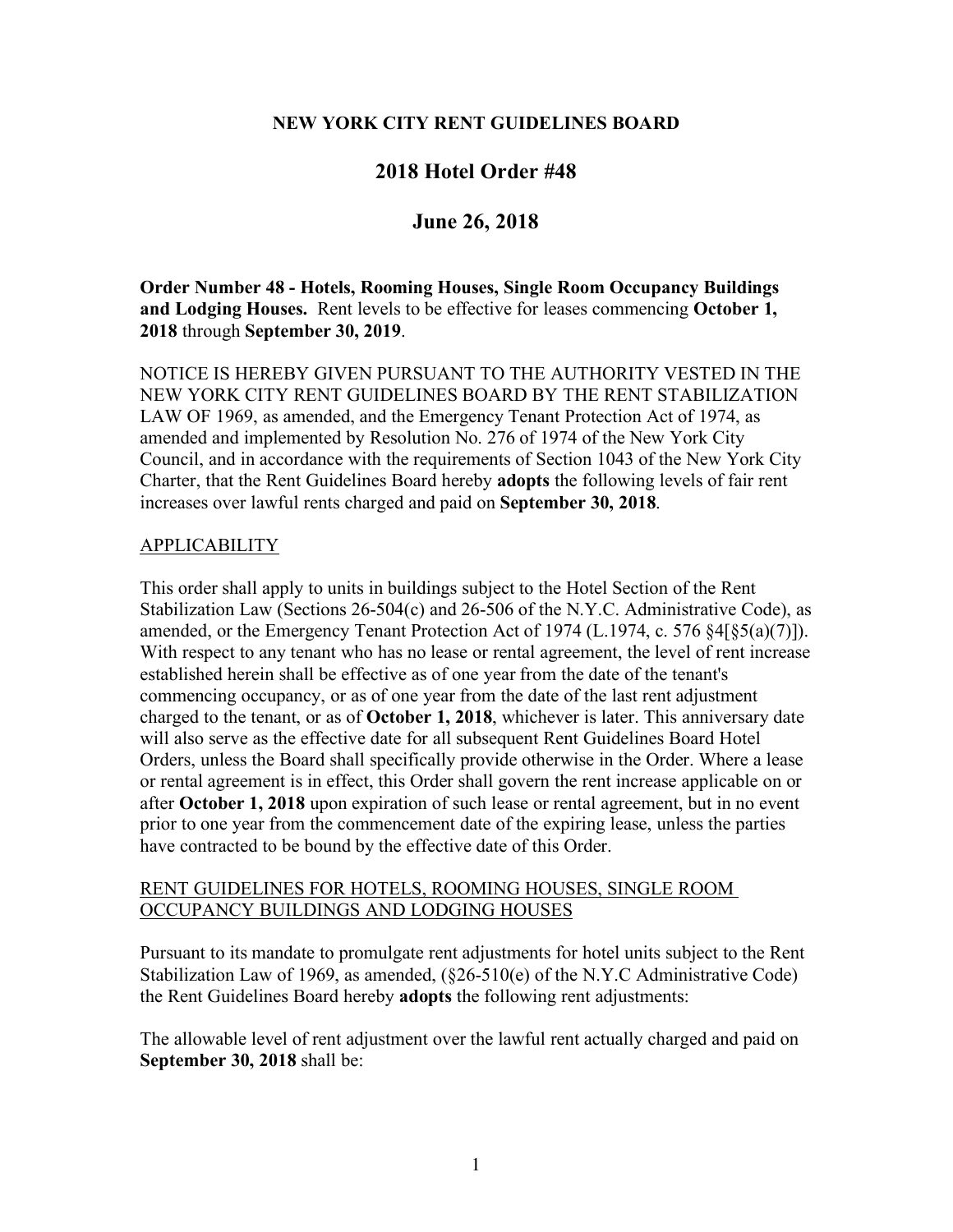#### **NEW YORK CITY RENT GUIDELINES BOARD**

# **2018 Hotel Order #48**

# **June 26, 2018**

### **Order Number 48 - Hotels, Rooming Houses, Single Room Occupancy Buildings and Lodging Houses.** Rent levels to be effective for leases commencing **October 1, 2018** through **September 30, 2019**.

NOTICE IS HEREBY GIVEN PURSUANT TO THE AUTHORITY VESTED IN THE NEW YORK CITY RENT GUIDELINES BOARD BY THE RENT STABILIZATION LAW OF 1969, as amended, and the Emergency Tenant Protection Act of 1974, as amended and implemented by Resolution No. 276 of 1974 of the New York City Council, and in accordance with the requirements of Section 1043 of the New York City Charter, that the Rent Guidelines Board hereby **adopts** the following levels of fair rent increases over lawful rents charged and paid on **September 30, 2018**.

#### APPLICABILITY

This order shall apply to units in buildings subject to the Hotel Section of the Rent Stabilization Law (Sections 26-504(c) and 26-506 of the N.Y.C. Administrative Code), as amended, or the Emergency Tenant Protection Act of 1974 (L.1974, c. 576 §4[§5(a)(7)]). With respect to any tenant who has no lease or rental agreement, the level of rent increase established herein shall be effective as of one year from the date of the tenant's commencing occupancy, or as of one year from the date of the last rent adjustment charged to the tenant, or as of **October 1, 2018**, whichever is later. This anniversary date will also serve as the effective date for all subsequent Rent Guidelines Board Hotel Orders, unless the Board shall specifically provide otherwise in the Order. Where a lease or rental agreement is in effect, this Order shall govern the rent increase applicable on or after **October 1, 2018** upon expiration of such lease or rental agreement, but in no event prior to one year from the commencement date of the expiring lease, unless the parties have contracted to be bound by the effective date of this Order.

#### RENT GUIDELINES FOR HOTELS, ROOMING HOUSES, SINGLE ROOM OCCUPANCY BUILDINGS AND LODGING HOUSES

Pursuant to its mandate to promulgate rent adjustments for hotel units subject to the Rent Stabilization Law of 1969, as amended, (§26-510(e) of the N.Y.C Administrative Code) the Rent Guidelines Board hereby **adopts** the following rent adjustments:

The allowable level of rent adjustment over the lawful rent actually charged and paid on **September 30, 2018** shall be: